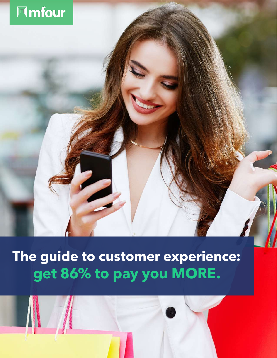

## **The guide to customer experience: get 86% to pay you MORE.**

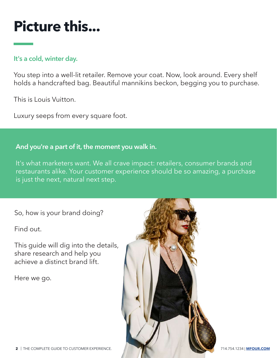# **Picture this...**

## **It's a cold, winter day.**

You step into a well-lit retailer. Remove your coat. Now, look around. Every shelf holds a handcrafted bag. Beautiful mannikins beckon, begging you to purchase.

This is Louis Vuitton.

Luxury seeps from every square foot.

### **And you're a part of it, the moment you walk in.**

It's what marketers want. We all crave impact: retailers, consumer brands and restaurants alike. Your customer experience should be so amazing, a purchase is just the next, natural next step.

So, how is your brand doing?

Find out.

This guide will dig into the details, share research and help you achieve a distinct brand lift.

Here we go.

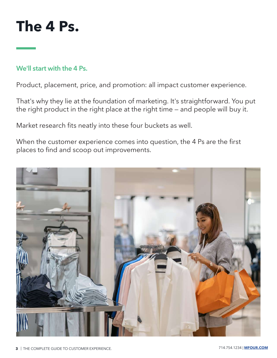

### **We'll start with the 4 Ps.**

Product, placement, price, and promotion: all impact customer experience.

That's why they lie at the foundation of marketing. It's straightforward. You put the right product in the right place at the right time — and people will buy it.

Market research fits neatly into these four buckets as well.

When the customer experience comes into question, the 4 Ps are the first places to find and scoop out improvements.

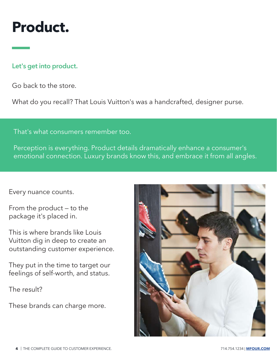## **Product.**

## **Let's get into product.**

Go back to the store.

What do you recall? That Louis Vuitton's was a handcrafted, designer purse.

That's what consumers remember too.

Perception is everything. Product details dramatically enhance a consumer's emotional connection. Luxury brands know this, and embrace it from all angles.

### Every nuance counts.

From the product — to the package it's placed in.

This is where brands like Louis Vuitton dig in deep to create an outstanding customer experience.

They put in the time to target our feelings of self-worth, and status.

The result?

These brands can charge more.

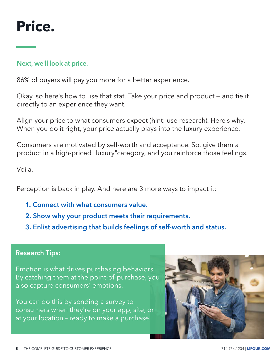

### **Next, we'll look at price.**

86% of buyers will pay you more for a better experience.

Okay, so here's how to use that stat. Take your price and product — and tie it directly to an experience they want.

Align your price to what consumers expect (hint: use research). Here's why. When you do it right, your price actually plays into the luxury experience.

Consumers are motivated by self-worth and acceptance. So, give them a product in a high-priced "luxury"category, and you reinforce those feelings.

Voila.

Perception is back in play. And here are 3 more ways to impact it:

- **1. Connect with what consumers value.**
- **2. Show why your product meets their requirements.**
- **3. Enlist advertising that builds feelings of self-worth and status.**

#### **Research Tips:**

Emotion is what drives purchasing behaviors. By catching them at the point-of-purchase, you also capture consumers' emotions.

You can do this by sending a survey to consumers when they're on your app, site, or at your location – ready to make a purchase.

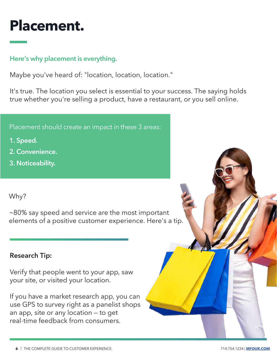# **Placement.**

## **Here's why placement is everything.**

Maybe you've heard of: "location, location, location."

It's true. The location you select is essential to your success. The saying holds true whether you're selling a product, have a restaurant, or you sell online.

Placement should create an impact in these 3 areas:

- **1. Speed.**
- **2. Convenience.**
- **3. Noticeability.**

## Why?

~80% say speed and service are the most important elements of a positive customer experience. Here's a tip.

## **Research Tip:**

Verify that people went to your app, saw your site, or visited your location.

If you have a market research app, you can use GPS to survey right as a panelist shops an app, site or any location — to get real-time feedback from consumers.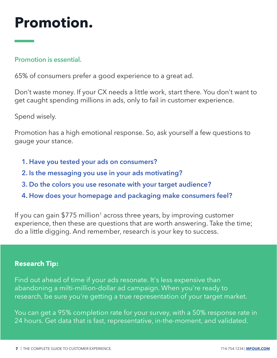# **Promotion.**

### **Promotion is essential.**

65% of consumers prefer a good experience to a great ad.

Don't waste money. If your CX needs a little work, start there. You don't want to get caught spending millions in ads, only to fail in customer experience.

Spend wisely.

Promotion has a high emotional response. So, ask yourself a few questions to gauge your stance.

- **1. Have you tested your ads on consumers?**
- **2. Is the messaging you use in your ads motivating?**
- **3. Do the colors you use resonate with your target audience?**
- **4. How does your homepage and packaging make consumers feel?**

If you can gain \$775 million<sup>1</sup> across three years, by improving customer experience, then these are questions that are worth answering. Take the time; do a little digging. And remember, research is your key to success.

### **Research Tip:**

Find out ahead of time if your ads resonate. It's less expensive than abandoning a milti-million-dollar ad campaign. When you're ready to research, be sure you're getting a true representation of your target market.

You can get a 95% completion rate for your survey, with a 50% response rate in 24 hours. Get data that is fast, representative, in-the-moment, and validated.